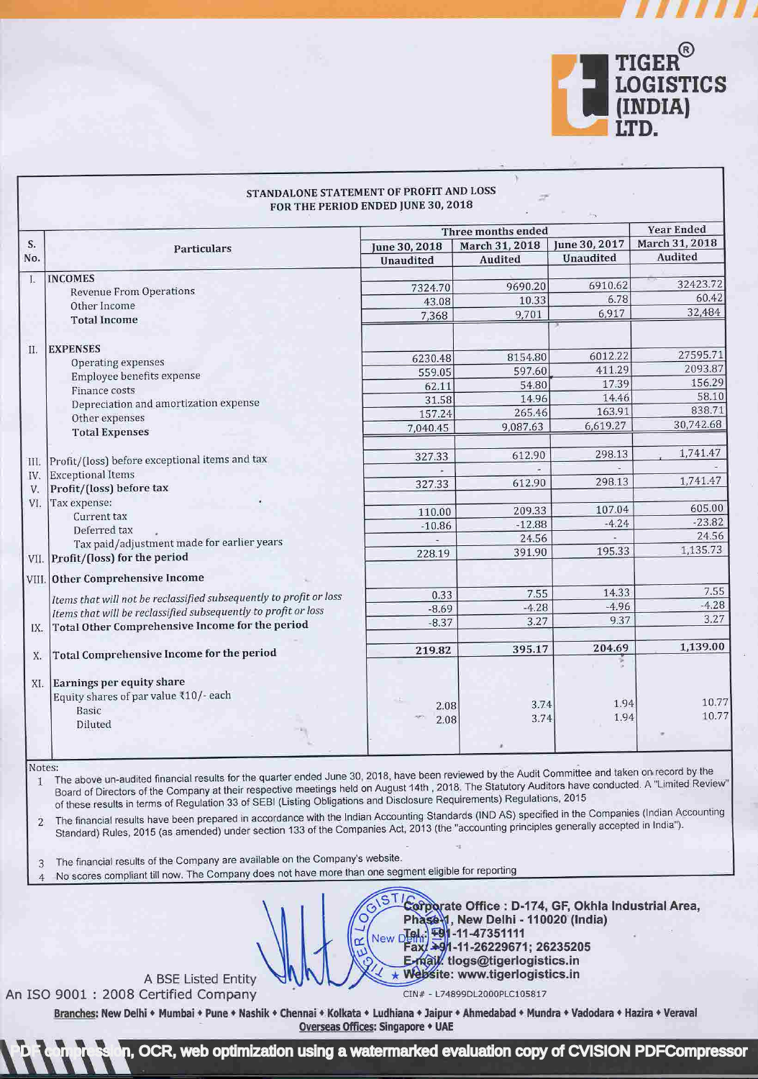

w 111111

|     |                                                                    | Three months ended |                |               | <b>Year Ended</b> |
|-----|--------------------------------------------------------------------|--------------------|----------------|---------------|-------------------|
| S.  | Particulars                                                        | June 30, 2018      | March 31, 2018 | June 30, 2017 | March 31, 2018    |
| No. |                                                                    | Unaudited          | <b>Audited</b> | Unaudited     | Audited           |
| L.  | <b>INCOMES</b>                                                     |                    |                |               |                   |
|     | <b>Revenue From Operations</b>                                     | 7324.70            | 9690.20        | 6910.62       | 32423.72          |
|     | Other Income                                                       | 43.08              | 10.33          | 6.78          | 60.42             |
|     | <b>Total Income</b>                                                | 7,368              | 9,701          | 6,917         | 32,484            |
| II. | <b>EXPENSES</b>                                                    |                    |                |               |                   |
|     | Operating expenses                                                 | 6230.48            | 8154.80        | 6012.22       | 27595.71          |
|     | Employee benefits expense                                          | 559.05             | 597.60         | 411.29        | 2093.87           |
|     | Finance costs                                                      | 62.11              | 54.80          | 17.39         | 156.29            |
|     | Depreciation and amortization expense                              | 31.58              | 14.96          | 14.46         | 58.10             |
|     | Other expenses                                                     | 157.24             | 265.46         | 163.91        | 838.71            |
|     | <b>Total Expenses</b>                                              | 7,040.45           | 9,087.63       | 6,619.27      | 30,742.68         |
| Ш.  | Profit/(loss) before exceptional items and tax                     | 327.33             | 612.90         | 298.13        | 1,741.47          |
| IV. | <b>Exceptional Items</b>                                           |                    |                |               |                   |
| V.  | Profit/(loss) before tax                                           | 327.33             | 612.90         | 298.13        | 1,741.47          |
| VI. | Tax expense:                                                       |                    |                |               |                   |
|     | Current tax                                                        | 110.00             | 209.33         | 107.04        | 605.00            |
|     | Deferred tax                                                       | $-10.86$           | $-12.88$       | $-4.24$       | $-23.82$          |
|     | Tax paid/adjustment made for earlier years                         |                    | 24.56          |               | 24.56             |
|     | VII. Profit/(loss) for the period                                  | 228.19             | 391.90         | 195.33        | 1,135.73          |
|     | VIII. Other Comprehensive Income                                   |                    |                |               |                   |
|     | Items that will not be reclassified subsequently to profit or loss | 0.33               | 7.55           | 14.33         | 7.55              |
|     | Items that will be reclassified subsequently to profit or loss     | $-8.69$            | $-4.28$        | $-4.96$       | $-4.28$           |
| IX. | Total Other Comprehensive Income for the period                    | $-8.37$            | 3.27           | 9.37          | 3.27              |
|     |                                                                    |                    | 395.17         | 204.69        | 1,139.00          |
| Χ.  | Total Comprehensive Income for the period                          | 219.82             |                |               |                   |
| XI. | Earnings per equity share                                          |                    |                |               |                   |
|     | Equity shares of par value ₹10/- each                              |                    |                |               |                   |
|     | Basic                                                              | 2.08               | 3.74           | 1.94          | 10.77             |
|     | Diluted                                                            | 2.08               | 3.74           | 1.94          | 10.77             |

## STANDALONE STATEMENT OF PROFIT AND LOSS

Notes:

1 The above un-audited financial results for the quarter ended June 30, 2018, have been reviewed by the Audit Committee and taken on record by the Board of Directors of the Company at their respective meetings held on August 14th , 2018. The Statutory Auditors have conducted. A "Limited Review" ofthese results in terms of Regulation 33 of SEBI (Listing Obligations and Disclosure Requirements) Regulations, <sup>2015</sup>

2 The financial results have been prepared in accordance with the Indian Accounting Standards (IND AS) specified in the Companies (Indian Accounting Standard) Rules, 2015 (as amended) undersection 133 ofthe Companies Act, 2013 (the "accounting principles generally accepted in India").

<sup>3</sup>The financial results of the Company are available on the Company's website.

<sup>4</sup>No scores compliant till now. The Company does not have more than one segment eligible for reporting

## A BSE Listed Entity An ISO 9001 : 2008 Certified Company

 $\star$  Website: www.tigerlogistics.in CIN# - L74899DL2000pLC105817

New DL-0 -11-47351111

Phase 1, New Delhi - 110020 (India)

Fax: +91-11-26229671; 26235205 E-mail tlogs@tigerlogistics.in

Corporate Office : D-174, GF, Okhla Industrial Area,

Branches: New Delhi • Mumbai • Pune • Nashik • Chennai • Kolkata • Ludhiana + Jaipur • Ahmedabad • Mundra • Vadodara • Hazira • Veraval Overseas Offices: Singapore • UAE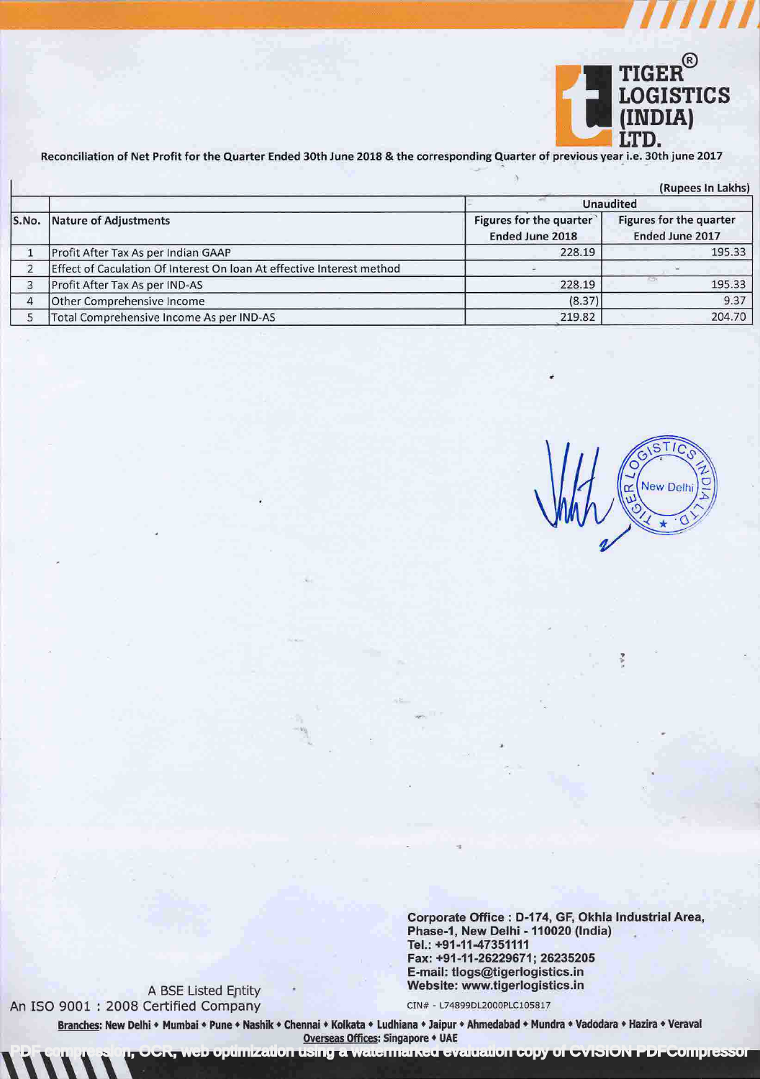

|       | (Rupees In Lakhs)                                                     |                                            |                                            |  |  |  |
|-------|-----------------------------------------------------------------------|--------------------------------------------|--------------------------------------------|--|--|--|
|       | <b>Nature of Adjustments</b>                                          | <b>Unaudited</b>                           |                                            |  |  |  |
| S.No. |                                                                       | Figures for the quarter<br>Ended June 2018 | Figures for the quarter<br>Ended June 2017 |  |  |  |
|       | Profit After Tax As per Indian GAAP                                   | 228.19                                     | 195.33                                     |  |  |  |
|       | Effect of Caculation Of Interest On Ioan At effective Interest method |                                            |                                            |  |  |  |
| 3     | Profit After Tax As per IND-AS                                        | 228.19                                     | 195.33                                     |  |  |  |
| 4     | Other Comprehensive Income                                            | (8.37)                                     | 9.37                                       |  |  |  |
|       | Total Comprehensive Income As per IND-AS                              | 219.82                                     | 204.70                                     |  |  |  |

STIC New Delhi 医  $\rightarrow$ 

o in

Corporate Office : D-174, GF, Okhla Industrial Area, Phase-1, New Delhi - 110020 (India) Tel.: +91-11-47351111 Fax: +91-11-26229671; 26235205 E-mail: tlogs@tigerlogistics.in A BSE Listed Entity<br>
Certified Company<br>
Certified Company<br>
Certified Company

An ISO 9001 : 2008 Certified Company

pumization using a watermarked evaluation copy of CVISION PDFCompressor

Branches: New Delhi • Mumbai • Pune • Nashik • Chennai • Kolkata • Ludhiana • Jaipur • Ahmedabad • Mundra • Vadodara • Hazira • Veraval Overseas Offices: Singapore • UAE